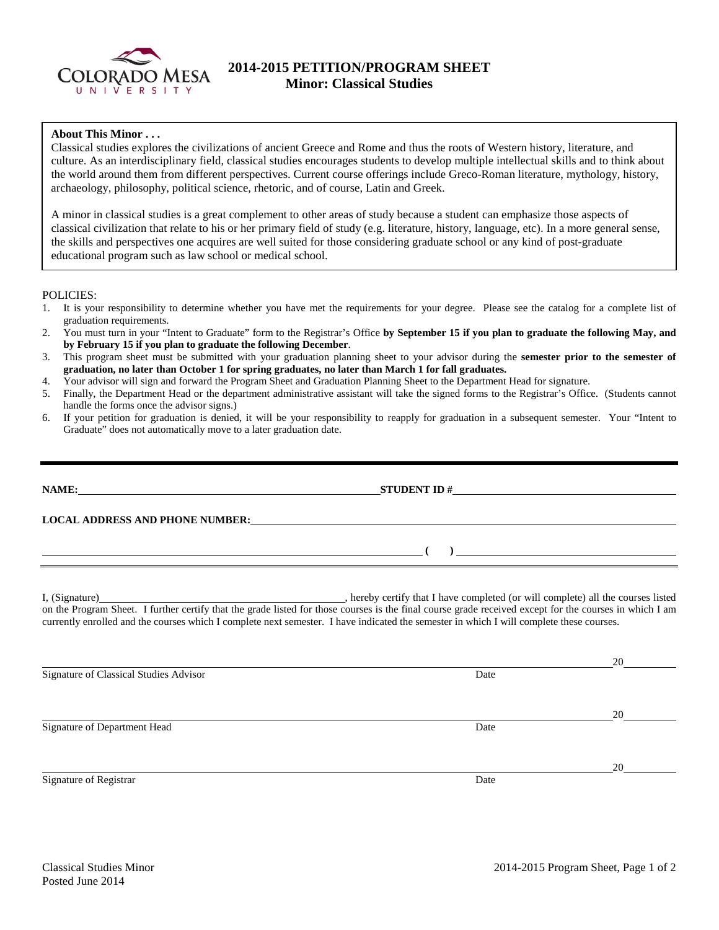

## **2014-2015 PETITION/PROGRAM SHEET Minor: Classical Studies**

## **About This Minor . . .**

Classical studies explores the civilizations of ancient Greece and Rome and thus the roots of Western history, literature, and culture. As an interdisciplinary field, classical studies encourages students to develop multiple intellectual skills and to think about the world around them from different perspectives. Current course offerings include Greco-Roman literature, mythology, history, archaeology, philosophy, political science, rhetoric, and of course, Latin and Greek.

A minor in classical studies is a great complement to other areas of study because a student can emphasize those aspects of classical civilization that relate to his or her primary field of study (e.g. literature, history, language, etc). In a more general sense, the skills and perspectives one acquires are well suited for those considering graduate school or any kind of post-graduate educational program such as law school or medical school.

POLICIES:

- 1. It is your responsibility to determine whether you have met the requirements for your degree. Please see the catalog for a complete list of graduation requirements.
- 2. You must turn in your "Intent to Graduate" form to the Registrar's Office **by September 15 if you plan to graduate the following May, and by February 15 if you plan to graduate the following December**.
- 3. This program sheet must be submitted with your graduation planning sheet to your advisor during the **semester prior to the semester of graduation, no later than October 1 for spring graduates, no later than March 1 for fall graduates.**
- 4. Your advisor will sign and forward the Program Sheet and Graduation Planning Sheet to the Department Head for signature.
- 5. Finally, the Department Head or the department administrative assistant will take the signed forms to the Registrar's Office. (Students cannot handle the forms once the advisor signs.)
- 6. If your petition for graduation is denied, it will be your responsibility to reapply for graduation in a subsequent semester. Your "Intent to Graduate" does not automatically move to a later graduation date.

|                                        | LOCAL ADDRESS AND PHONE NUMBER: Under Additional Annual Address And Phone Number:                                                                                                                                                                                                                                 |  |
|----------------------------------------|-------------------------------------------------------------------------------------------------------------------------------------------------------------------------------------------------------------------------------------------------------------------------------------------------------------------|--|
|                                        | $\overline{a}$ ( ) and the contract of $\overline{a}$ ( ) and the contract of $\overline{a}$ and $\overline{a}$ and $\overline{a}$ and $\overline{a}$ and $\overline{a}$ and $\overline{a}$ and $\overline{a}$ and $\overline{a}$ and $\overline{a}$ and $\overline{a}$ and $\overline{a}$ and $\overline{a}$ and |  |
|                                        | currently enrolled and the courses which I complete next semester. I have indicated the semester in which I will complete these courses.                                                                                                                                                                          |  |
|                                        |                                                                                                                                                                                                                                                                                                                   |  |
| Signature of Classical Studies Advisor | Date                                                                                                                                                                                                                                                                                                              |  |
|                                        |                                                                                                                                                                                                                                                                                                                   |  |
|                                        |                                                                                                                                                                                                                                                                                                                   |  |
| Signature of Department Head           | Date                                                                                                                                                                                                                                                                                                              |  |
|                                        |                                                                                                                                                                                                                                                                                                                   |  |
|                                        |                                                                                                                                                                                                                                                                                                                   |  |
| Signature of Registrar                 | Date                                                                                                                                                                                                                                                                                                              |  |